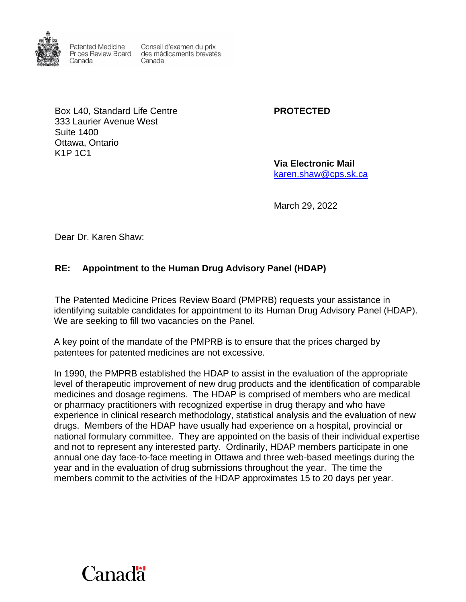

**Patented Medicine** Canada

Conseil d'examen du prix Prices Review Board des médicaments brevetés Canada

Box L40, Standard Life Centre **PROTECTED** 333 Laurier Avenue West Suite 1400 Ottawa, Ontario K1P 1C1

**Via Electronic Mail** [karen.shaw@cps.sk.ca](mailto:karen.shaw@cps.sk.ca)

March 29, 2022

Dear Dr. Karen Shaw:

## **RE: Appointment to the Human Drug Advisory Panel (HDAP)**

The Patented Medicine Prices Review Board (PMPRB) requests your assistance in identifying suitable candidates for appointment to its Human Drug Advisory Panel (HDAP). We are seeking to fill two vacancies on the Panel.

A key point of the mandate of the PMPRB is to ensure that the prices charged by patentees for patented medicines are not excessive.

In 1990, the PMPRB established the HDAP to assist in the evaluation of the appropriate level of therapeutic improvement of new drug products and the identification of comparable medicines and dosage regimens. The HDAP is comprised of members who are medical or pharmacy practitioners with recognized expertise in drug therapy and who have experience in clinical research methodology, statistical analysis and the evaluation of new drugs. Members of the HDAP have usually had experience on a hospital, provincial or national formulary committee. They are appointed on the basis of their individual expertise and not to represent any interested party. Ordinarily, HDAP members participate in one annual one day face-to-face meeting in Ottawa and three web-based meetings during the year and in the evaluation of drug submissions throughout the year. The time the members commit to the activities of the HDAP approximates 15 to 20 days per year.

## Canadä